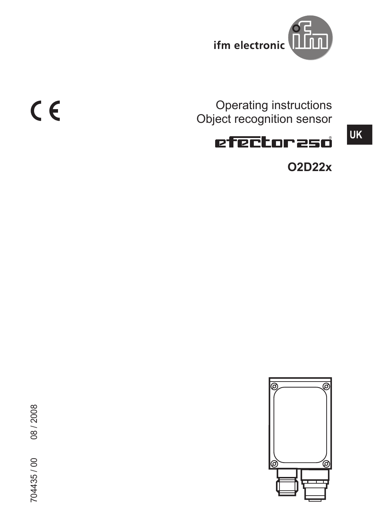

Operating instructions Object recognition sensor

# efectoraso

**O2D22x**

**UK**



 $C \in$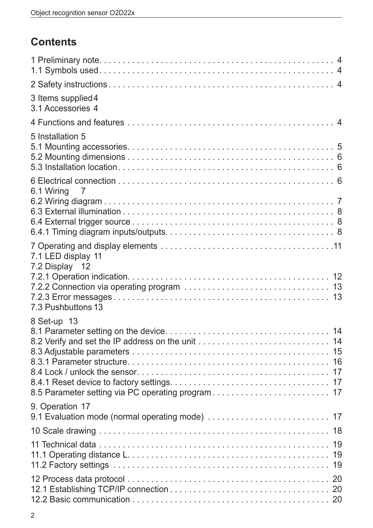# **Contents**

| 3 Items supplied 4<br>3.1 Accessories 4 |  |
|-----------------------------------------|--|
|                                         |  |
| 5 Installation 5                        |  |
| 6.1 Wiring<br>$\overline{7}$            |  |
|                                         |  |
| 7.1 LED display 11<br>7.2 Display 12    |  |
| 7.3 Pushbuttons 13                      |  |
| 8 Set-up 13                             |  |
| 9. Operation 17                         |  |
|                                         |  |
|                                         |  |
|                                         |  |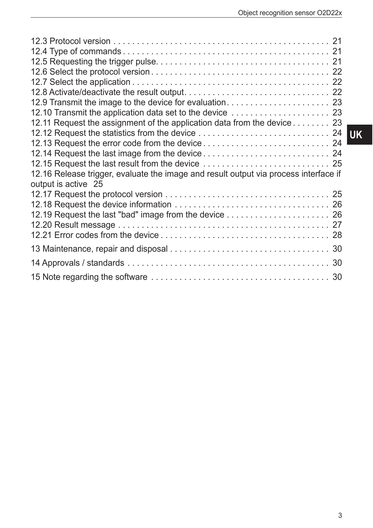| 12.9 Transmit the image to the device for evaluation 23                                                     |  |
|-------------------------------------------------------------------------------------------------------------|--|
|                                                                                                             |  |
| 12.11 Request the assignment of the application data from the device 23                                     |  |
|                                                                                                             |  |
|                                                                                                             |  |
|                                                                                                             |  |
|                                                                                                             |  |
| 12.16 Release trigger, evaluate the image and result output via process interface if<br>output is active 25 |  |
|                                                                                                             |  |
|                                                                                                             |  |
| 12.19 Request the last "bad" image from the device  26                                                      |  |
|                                                                                                             |  |
|                                                                                                             |  |
|                                                                                                             |  |
|                                                                                                             |  |
|                                                                                                             |  |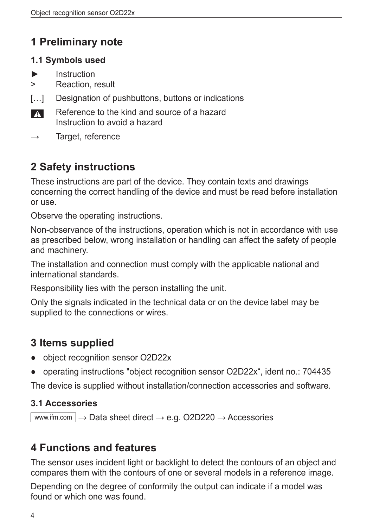# **1 Preliminary note**

### **1.1 Symbols used**

- **Instruction**
- > Reaction, result
- [...] Designation of pushbuttons, buttons or indications
- Reference to the kind and source of a hazard  $\blacksquare$ Instruction to avoid a hazard
- $\rightarrow$  Target, reference

# **2 Safety instructions**

These instructions are part of the device. They contain texts and drawings concerning the correct handling of the device and must be read before installation or use.

Observe the operating instructions.

Non-observance of the instructions, operation which is not in accordance with use as prescribed below, wrong installation or handling can affect the safety of people and machinery.

The installation and connection must comply with the applicable national and international standards.

Responsibility lies with the person installing the unit.

Only the signals indicated in the technical data or on the device label may be supplied to the connections or wires.

# **3 Items supplied**

- object recognition sensor O2D22x
- operating instructions "object recognition sensor O2D22x", ident no.: 704435

The device is supplied without installation/connection accessories and software.

### **3.1 Accessories**

www.ifm.com  $\rightarrow$  Data sheet direct  $\rightarrow$  e.g. O2D220  $\rightarrow$  Accessories

# **4 Functions and features**

The sensor uses incident light or backlight to detect the contours of an object and compares them with the contours of one or several models in a reference image.

Depending on the degree of conformity the output can indicate if a model was found or which one was found.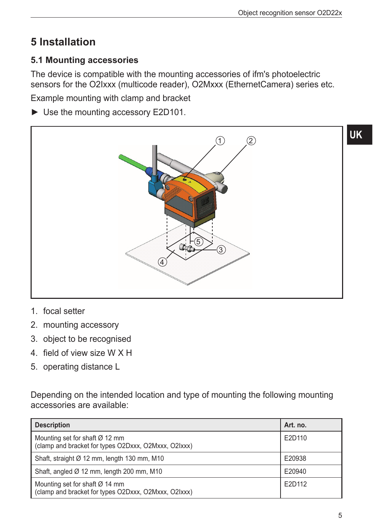# **5 Installation**

### **5.1 Mounting accessories**

The device is compatible with the mounting accessories of ifm's photoelectric sensors for the O2Ixxx (multicode reader), O2Mxxx (EthernetCamera) series etc.

Example mounting with clamp and bracket

► Use the mounting accessory E2D101.



- 1. focal setter
- 2. mounting accessory
- 3. object to be recognised
- 4. field of view size W X H
- 5. operating distance L

Depending on the intended location and type of mounting the following mounting accessories are available:

| <b>Description</b>                                                                                 | Art. no. |
|----------------------------------------------------------------------------------------------------|----------|
| Mounting set for shaft $\varnothing$ 12 mm<br>(clamp and bracket for types O2Dxxx, O2Mxxx, O2Ixxx) | E2D110   |
| Shaft, straight Ø 12 mm, length 130 mm, M10                                                        | E20938   |
| Shaft, angled $\varnothing$ 12 mm, length 200 mm, M10                                              | E20940   |
| Mounting set for shaft $\varnothing$ 14 mm<br>(clamp and bracket for types O2Dxxx, O2Mxxx, O2Ixxx) | E2D112   |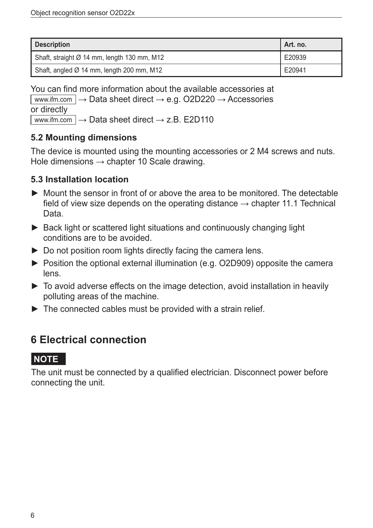| <b>Description</b>                                      | Art. no. |
|---------------------------------------------------------|----------|
| Shaft, straight $\varnothing$ 14 mm, length 130 mm, M12 | E20939   |
| Shaft, angled $\varnothing$ 14 mm, length 200 mm, M12   | E20941   |

You can find more information about the available accessories at www.ifm.com  $\rightarrow$  Data sheet direct  $\rightarrow$  e.g. O2D220  $\rightarrow$  Accessories or directly

www.ifm.com  $\rightarrow$  Data sheet direct  $\rightarrow$  z.B. E2D110

### **5.2 Mounting dimensions**

The device is mounted using the mounting accessories or 2 M4 screws and nuts. Hole dimensions  $\rightarrow$  chapter 10 Scale drawing.

### **5.3 Installation location**

- ► Mount the sensor in front of or above the area to be monitored. The detectable field of view size depends on the operating distance  $\rightarrow$  chapter 11.1 Technical Data.
- ► Back light or scattered light situations and continuously changing light conditions are to be avoided.
- ► Do not position room lights directly facing the camera lens.
- ► Position the optional external illumination (e.g. O2D909) opposite the camera lens.
- ► To avoid adverse effects on the image detection, avoid installation in heavily polluting areas of the machine.
- $\triangleright$  The connected cables must be provided with a strain relief.

# **6 Electrical connection**

### **NOTE**

The unit must be connected by a qualified electrician. Disconnect power before connecting the unit.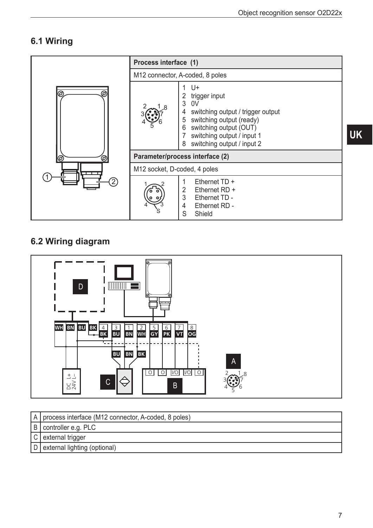# 6.1 Wiring

|        | Process interface (1)        |                                                                                                                                                                                                      |
|--------|------------------------------|------------------------------------------------------------------------------------------------------------------------------------------------------------------------------------------------------|
|        |                              | M12 connector, A-coded, 8 poles                                                                                                                                                                      |
| @<br>@ |                              | U+<br>trigger input<br>3<br>0V<br>switching output / trigger output<br>switching output (ready)<br>5<br>switching output (OUT)<br>6<br>switching output / input 1<br>switching output / input 2<br>8 |
| @<br>ි |                              | Parameter/process interface (2)                                                                                                                                                                      |
|        | M12 socket, D-coded, 4 poles |                                                                                                                                                                                                      |
|        |                              | Ethernet $TD +$<br>2<br>Ethernet RD +<br>3<br>Ethernet TD -<br>Ethernet RD -<br>4<br>Shield<br>S                                                                                                     |

# 6.2 Wiring diagram



| A   process interface (M12 connector, A-coded, 8 poles) |
|---------------------------------------------------------|
| B controller e.g. PLC                                   |
| C external trigger                                      |
| D external lighting (optional)                          |

UK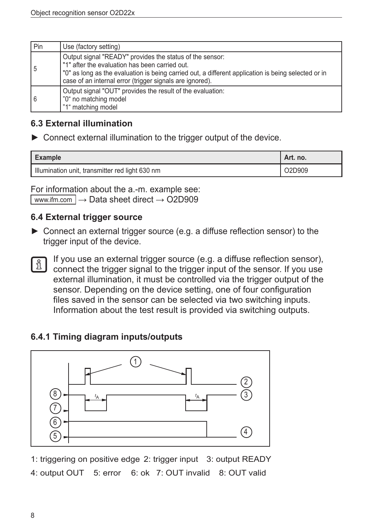| Pin | Use (factory setting)                                                                                                                                                                                                                                                         |
|-----|-------------------------------------------------------------------------------------------------------------------------------------------------------------------------------------------------------------------------------------------------------------------------------|
| 5   | Output signal "READY" provides the status of the sensor:<br>"1" after the evaluation has been carried out.<br>"0" as long as the evaluation is being carried out, a different application is being selected or in<br>case of an internal error (trigger signals are ignored). |
| 6   | Output signal "OUT" provides the result of the evaluation:<br>"0" no matching model<br>"1" matching model                                                                                                                                                                     |

#### **6.3 External illumination**

► Connect external illumination to the trigger output of the device.

| <b>Example</b>                                  | Art. no. |
|-------------------------------------------------|----------|
| Illumination unit, transmitter red light 630 nm | O2D909   |

For information about the a.-m. example see: www.ifm.com  $\rightarrow$  Data sheet direct  $\rightarrow$  O2D909

#### **6.4 External trigger source**

- ► Connect an external trigger source (e.g. a diffuse reflection sensor) to the trigger input of the device.
- $\mathfrak{g}$  |

If you use an external trigger source (e.g. a diffuse reflection sensor), connect the trigger signal to the trigger input of the sensor. If you use external illumination, it must be controlled via the trigger output of the sensor. Depending on the device setting, one of four configuration files saved in the sensor can be selected via two switching inputs. Information about the test result is provided via switching outputs.

### **6.4.1 Timing diagram inputs/outputs**



1: triggering on positive edge 2: trigger input 3: output READY 4: output OUT 5: error 6: ok 7: OUT invalid 8: OUT valid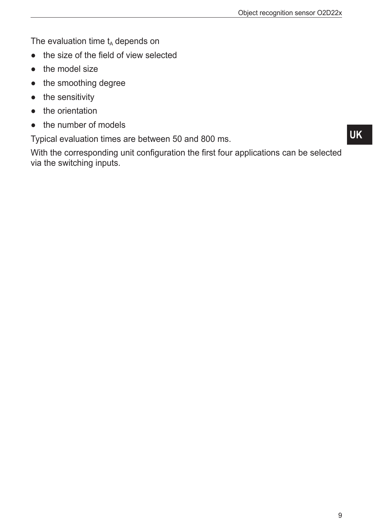The evaluation time  $t_A$  depends on

- the size of the field of view selected
- the model size
- the smoothing degree
- the sensitivity
- the orientation
- the number of models

Typical evaluation times are between 50 and 800 ms.

With the corresponding unit configuration the first four applications can be selected via the switching inputs.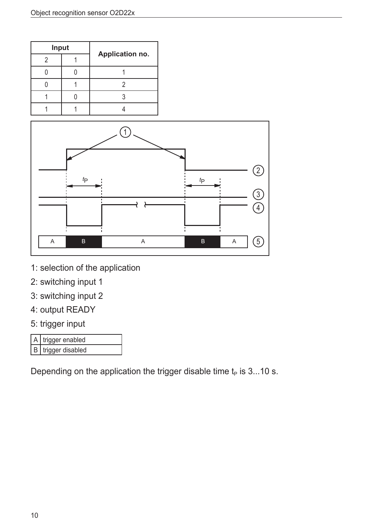| Input |  |                 |
|-------|--|-----------------|
|       |  | Application no. |
|       |  |                 |
|       |  |                 |
|       |  |                 |
|       |  |                 |



- 1: selection of the application
- 2: switching input 1
- 3: switching input 2
- 4: output READY
- 5: trigger input

| A trigger enabled  |
|--------------------|
| B trigger disabled |

Depending on the application the trigger disable time  $t_P$  is 3...10 s.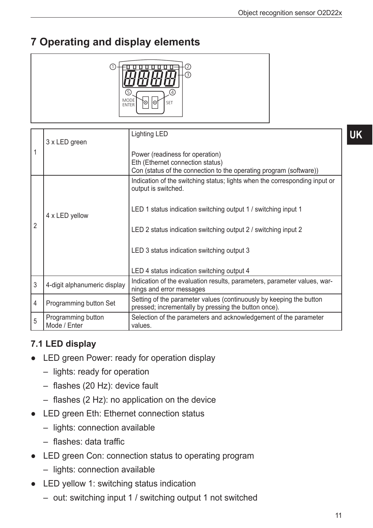# **7 Operating and display elements**



|                | 3 x LED green                      | <b>Lighting LED</b>                                                                                                                       |
|----------------|------------------------------------|-------------------------------------------------------------------------------------------------------------------------------------------|
| 1              |                                    | Power (readiness for operation)<br>Eth (Ethernet connection status)<br>Con (status of the connection to the operating program (software)) |
|                |                                    | Indication of the switching status; lights when the corresponding input or<br>output is switched.                                         |
|                | 4 x LED yellow                     | LED 1 status indication switching output 1 / switching input 1                                                                            |
| $\overline{2}$ |                                    | LED 2 status indication switching output 2 / switching input 2                                                                            |
|                |                                    | LED 3 status indication switching output 3                                                                                                |
|                |                                    | LED 4 status indication switching output 4                                                                                                |
| 3              | 4-digit alphanumeric display       | Indication of the evaluation results, parameters, parameter values, war-<br>nings and error messages                                      |
| $\overline{4}$ | Programming button Set             | Setting of the parameter values (continuously by keeping the button<br>pressed; incrementally by pressing the button once).               |
| 5              | Programming button<br>Mode / Enter | Selection of the parameters and acknowledgement of the parameter<br>values.                                                               |

### **7.1 LED display**

- LED green Power: ready for operation display
	- lights: ready for operation
	- flashes (20 Hz): device fault
	- flashes (2 Hz): no application on the device
- LED green Eth: Ethernet connection status
	- lights: connection available
	- flashes: data traffic
- LED green Con: connection status to operating program
	- lights: connection available
- LED yellow 1: switching status indication
	- out: switching input 1 / switching output 1 not switched

**UK**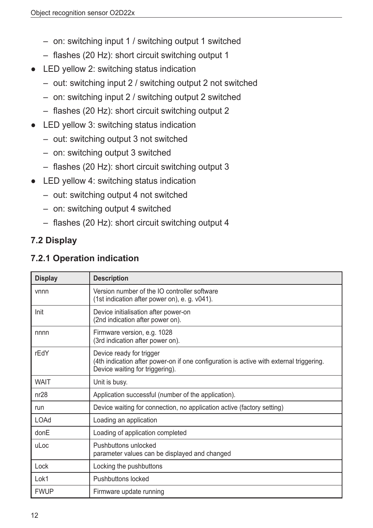- on: switching input 1 / switching output 1 switched
- flashes (20 Hz): short circuit switching output 1
- LED yellow 2: switching status indication
	- out: switching input 2 / switching output 2 not switched
	- on: switching input 2 / switching output 2 switched
	- flashes (20 Hz): short circuit switching output 2
- LED yellow 3: switching status indication
	- out: switching output 3 not switched
	- on: switching output 3 switched
	- flashes (20 Hz): short circuit switching output 3
- LED yellow 4: switching status indication
	- out: switching output 4 not switched
	- on: switching output 4 switched
	- flashes (20 Hz): short circuit switching output 4

### **7.2 Display**

### **7.2.1 Operation indication**

| <b>Display</b> | <b>Description</b>                                                                                                                                     |
|----------------|--------------------------------------------------------------------------------------------------------------------------------------------------------|
| vnnn           | Version number of the IO controller software<br>(1st indication after power on), e. g. v041).                                                          |
| Init           | Device initialisation after power-on<br>(2nd indication after power on).                                                                               |
| nnnn           | Firmware version, e.g. 1028<br>(3rd indication after power on).                                                                                        |
| rEdY           | Device ready for trigger<br>(4th indication after power-on if one configuration is active with external triggering.<br>Device waiting for triggering). |
| <b>WAIT</b>    | Unit is busy.                                                                                                                                          |
| nr28           | Application successful (number of the application).                                                                                                    |
| run            | Device waiting for connection, no application active (factory setting)                                                                                 |
| <b>LOAd</b>    | Loading an application                                                                                                                                 |
| donE           | Loading of application completed                                                                                                                       |
| uLoc           | Pushbuttons unlocked<br>parameter values can be displayed and changed                                                                                  |
| Lock           | Locking the pushbuttons                                                                                                                                |
| Lok1           | <b>Pushbuttons locked</b>                                                                                                                              |
| <b>FWUP</b>    | Firmware update running                                                                                                                                |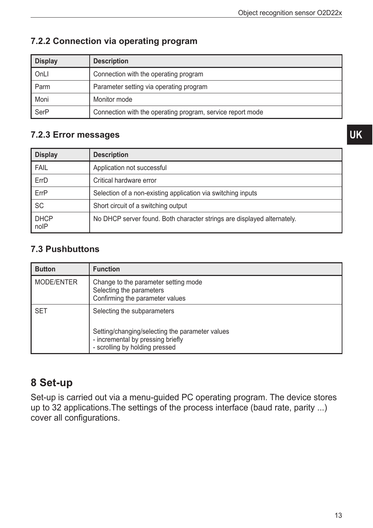| <b>Display</b> | <b>Description</b>                                         |
|----------------|------------------------------------------------------------|
| OnLI           | Connection with the operating program                      |
| Parm           | Parameter setting via operating program                    |
| Moni           | Monitor mode                                               |
| <b>SerP</b>    | Connection with the operating program, service report mode |

### **7.2.2 Connection via operating program**

#### **7.2.3 Error messages**

| <b>Display</b>      | <b>Description</b>                                                      |
|---------------------|-------------------------------------------------------------------------|
| <b>FAIL</b>         | Application not successful                                              |
| ErrD                | Critical hardware error                                                 |
| ErrP                | Selection of a non-existing application via switching inputs            |
| <b>SC</b>           | Short circuit of a switching output                                     |
| <b>DHCP</b><br>noIP | No DHCP server found. Both character strings are displayed alternately. |

### **7.3 Pushbuttons**

| <b>Button</b> | <b>Function</b>                                                                                                     |
|---------------|---------------------------------------------------------------------------------------------------------------------|
| MODE/ENTER    | Change to the parameter setting mode<br>Selecting the parameters<br>Confirming the parameter values                 |
| <b>SET</b>    | Selecting the subparameters<br>Setting/changing/selecting the parameter values<br>- incremental by pressing briefly |
|               | - scrolling by holding pressed                                                                                      |

# **8 Set-up**

Set-up is carried out via a menu-guided PC operating program. The device stores up to 32 applications.The settings of the process interface (baud rate, parity ...) cover all configurations.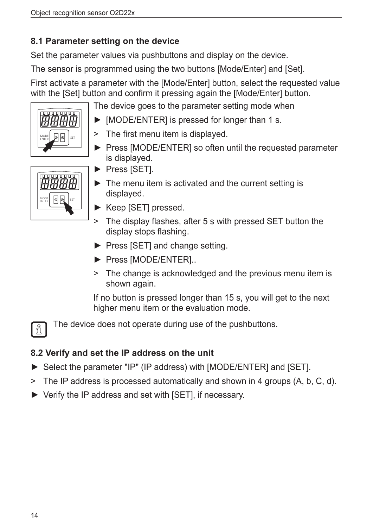### **8.1 Parameter setting on the device**

Set the parameter values via pushbuttons and display on the device.

The sensor is programmed using the two buttons [Mode/Enter] and [Set].

First activate a parameter with the [Mode/Enter] button, select the requested value with the [Set] button and confirm it pressing again the [Mode/Enter] button.

The device goes to the parameter setting mode when

- ► [MODE/ENTER] is pressed for longer than 1 s.
	- > The first menu item is displayed.
	- ► Press [MODE/ENTER] so often until the requested parameter is displayed.
- MODE 0 0 5ET

MODE

 $\frac{1}{2}$   $\frac{1}{2}$   $\frac{1}{2}$   $\frac{1}{2}$   $\frac{1}{2}$   $\frac{1}{2}$   $\frac{1}{2}$   $\frac{1}{2}$   $\frac{1}{2}$   $\frac{1}{2}$   $\frac{1}{2}$   $\frac{1}{2}$ 

- ► Press [SET].
- $\blacktriangleright$  The menu item is activated and the current setting is displayed.
- ► Keep [SET] pressed.
- > The display flashes, after 5 s with pressed SET button the display stops flashing.
- ► Press [SET] and change setting.
- ► Press [MODE/ENTER]..
- > The change is acknowledged and the previous menu item is shown again.

If no button is pressed longer than 15 s, you will get to the next higher menu item or the evaluation mode.

The device does not operate during use of the pushbuttons.

### **8.2 Verify and set the IP address on the unit**

- ► Select the parameter "IP" (IP address) with [MODE/ENTER] and [SET].
- > The IP address is processed automatically and shown in 4 groups (A, b, C, d).
- ► Verify the IP address and set with [SET], if necessary.

 $\frac{1}{2}$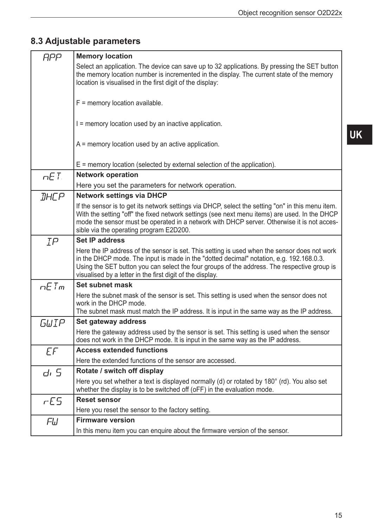**UK**

# **8.3 Adjustable parameters**

| <b>APP</b>         | <b>Memory location</b>                                                                                                                                                                                                                                                                                                                              |
|--------------------|-----------------------------------------------------------------------------------------------------------------------------------------------------------------------------------------------------------------------------------------------------------------------------------------------------------------------------------------------------|
|                    | Select an application. The device can save up to 32 applications. By pressing the SET button<br>the memory location number is incremented in the display. The current state of the memory<br>location is visualised in the first digit of the display:                                                                                              |
|                    | $F =$ memory location available.                                                                                                                                                                                                                                                                                                                    |
|                    | I = memory location used by an inactive application.                                                                                                                                                                                                                                                                                                |
|                    | $A$ = memory location used by an active application.                                                                                                                                                                                                                                                                                                |
|                    | $E$ = memory location (selected by external selection of the application).                                                                                                                                                                                                                                                                          |
| nET                | <b>Network operation</b>                                                                                                                                                                                                                                                                                                                            |
|                    | Here you set the parameters for network operation.                                                                                                                                                                                                                                                                                                  |
| <b><i>IHCP</i></b> | <b>Network settings via DHCP</b>                                                                                                                                                                                                                                                                                                                    |
|                    | If the sensor is to get its network settings via DHCP, select the setting "on" in this menu item.<br>With the setting "off" the fixed network settings (see next menu items) are used. In the DHCP<br>mode the sensor must be operated in a network with DHCP server. Otherwise it is not acces-<br>sible via the operating program E2D200.         |
| IP                 | <b>Set IP address</b>                                                                                                                                                                                                                                                                                                                               |
|                    | Here the IP address of the sensor is set. This setting is used when the sensor does not work<br>in the DHCP mode. The input is made in the "dotted decimal" notation, e.g. 192.168.0.3.<br>Using the SET button you can select the four groups of the address. The respective group is<br>visualised by a letter in the first digit of the display. |
| $nE$ T $m$         | Set subnet mask                                                                                                                                                                                                                                                                                                                                     |
|                    | Here the subnet mask of the sensor is set. This setting is used when the sensor does not<br>work in the DHCP mode.<br>The subnet mask must match the IP address. It is input in the same way as the IP address.                                                                                                                                     |
| GWIP               | Set gateway address                                                                                                                                                                                                                                                                                                                                 |
|                    | Here the gateway address used by the sensor is set. This setting is used when the sensor<br>does not work in the DHCP mode. It is input in the same way as the IP address.                                                                                                                                                                          |
| EF                 | <b>Access extended functions</b>                                                                                                                                                                                                                                                                                                                    |
|                    | Here the extended functions of the sensor are accessed.                                                                                                                                                                                                                                                                                             |
| dı 5               | Rotate / switch off display                                                                                                                                                                                                                                                                                                                         |
|                    | Here you set whether a text is displayed normally (d) or rotated by 180° (rd). You also set<br>whether the display is to be switched off (oFF) in the evaluation mode.                                                                                                                                                                              |
| rE5                | <b>Reset sensor</b>                                                                                                                                                                                                                                                                                                                                 |
|                    | Here you reset the sensor to the factory setting.                                                                                                                                                                                                                                                                                                   |
| FU                 | <b>Firmware version</b>                                                                                                                                                                                                                                                                                                                             |
|                    | In this menu item you can enquire about the firmware version of the sensor.                                                                                                                                                                                                                                                                         |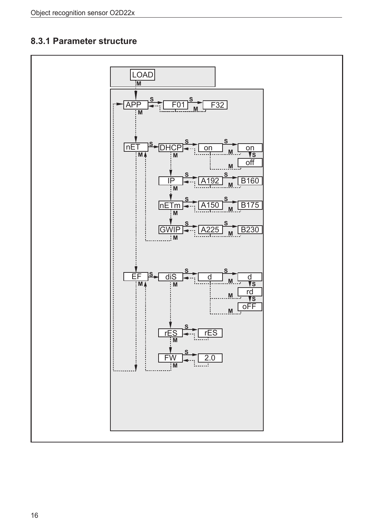### 8.3.1 Parameter structure

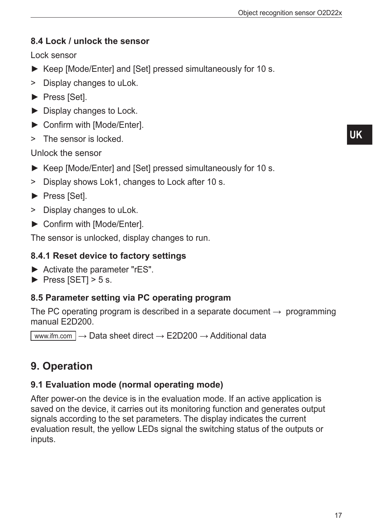### **8.4 Lock / unlock the sensor**

Lock sensor

- ► Keep [Mode/Enter] and [Set] pressed simultaneously for 10 s.
- > Display changes to uLok.
- ► Press [Set].
- ► Display changes to Lock.
- ► Confirm with [Mode/Enter].
- > The sensor is locked.

Unlock the sensor

- ► Keep [Mode/Enter] and [Set] pressed simultaneously for 10 s.
- > Display shows Lok1, changes to Lock after 10 s.
- ► Press [Set].
- > Display changes to uLok.
- ► Confirm with [Mode/Enter].

The sensor is unlocked, display changes to run.

### **8.4.1 Reset device to factory settings**

- ► Activate the parameter "rES".
- $\triangleright$  Press [SET] > 5 s.

### **8.5 Parameter setting via PC operating program**

The PC operating program is described in a separate document  $\rightarrow$  programming manual E2D200.

www.ifm.com  $\rightarrow$  Data sheet direct  $\rightarrow$  E2D200  $\rightarrow$  Additional data

# **9. Operation**

### **9.1 Evaluation mode (normal operating mode)**

After power-on the device is in the evaluation mode. If an active application is saved on the device, it carries out its monitoring function and generates output signals according to the set parameters. The display indicates the current evaluation result, the yellow LEDs signal the switching status of the outputs or inputs.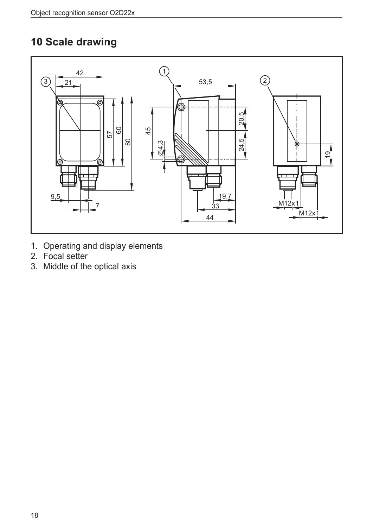# 10 Scale drawing

![](_page_17_Figure_2.jpeg)

- 1. Operating and display elements
- 2. Focal setter
- 3. Middle of the optical axis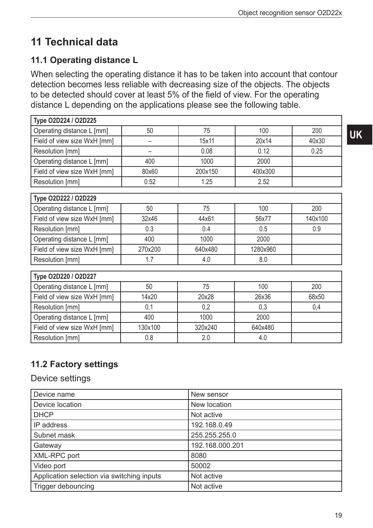# **11 Technical data**

# **11.1 Operating distance L**

When selecting the operating distance it has to be taken into account that contour detection becomes less reliable with decreasing size of the objects. The objects to be detected should cover at least 5% of the field of view. For the operating distance L depending on the applications please see the following table.

| Type O2D224 / O2D225                 |         |         |          |         |
|--------------------------------------|---------|---------|----------|---------|
| Operating distance L [mm]            | 50      | 75      | 100      | 200     |
| Field of view size WxH [mm]          | -       | 15x11   | 20x14    | 40x30   |
| Resolution [mm]                      |         | 0.08    | 0.12     | 0.25    |
| Operating distance L [mm]            | 400     | 1000    | 2000     |         |
| Field of view size WxH [mm]          | 80x60   | 200x150 | 400x300  |         |
| Resolution [mm]                      | 0.52    | 1.25    | 2.52     |         |
| Type O2D222 / O2D229                 |         |         |          |         |
| Operating distance L [mm]            | 50      | 75      | 100      | 200     |
| Field of view size WxH [mm]          | 32x46   | 44x61   | 56x77    | 140x100 |
| Resolution [mm]                      | 0.3     | 0.4     | 0.5      | 0.9     |
| Operating distance L [mm]            | 400     | 1000    | 2000     |         |
| Field of view size WxH [mm]          | 270x200 | 640x480 | 1280x960 |         |
| Resolution [mm]                      | 1.7     | 4.0     | 8.0      |         |
| Type O2D220 / O2D227                 |         |         |          |         |
| Operating distance L [mm]            | 50      | 75      | 100      | 200     |
| Field of view size WxH [mm]<br>14x20 |         | 20x28   | 26x36    | 68x50   |
| Resolution [mm]<br>0,1               |         | 0,2     | 0,3      | 0,4     |
| Operating distance L [mm]            | 400     | 1000    | 2000     |         |
| Field of view size WxH [mm]          | 130x100 | 320x240 | 640x480  |         |
| Resolution [mm]                      | 0.8     | 2.0     | 4.0      |         |

# **11.2 Factory settings**

### Device settings

| Device name                                | New sensor      |
|--------------------------------------------|-----------------|
| Device location                            | New location    |
| <b>DHCP</b>                                | Not active      |
| IP address                                 | 192.168.0.49    |
| Subnet mask                                | 255.255.255.0   |
| Gateway                                    | 192.168.000.201 |
| XML-RPC port                               | 8080            |
| Video port                                 | 50002           |
| Application selection via switching inputs | Not active      |
| Trigger debouncing                         | Not active      |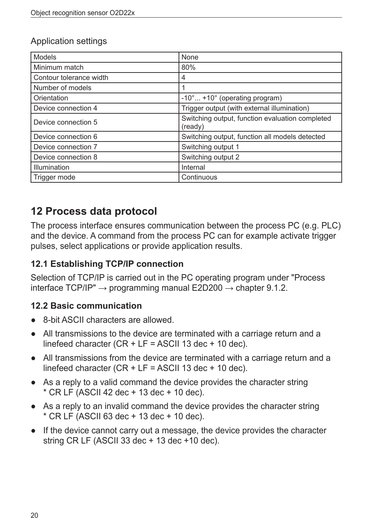#### Application settings

| <b>Models</b>           | <b>None</b>                                                |
|-------------------------|------------------------------------------------------------|
| Minimum match           | 80%                                                        |
| Contour tolerance width | 4                                                          |
| Number of models        |                                                            |
| Orientation             | $-10^{\circ}$ +10 $^{\circ}$ (operating program)           |
| Device connection 4     | Trigger output (with external illumination)                |
| Device connection 5     | Switching output, function evaluation completed<br>(ready) |
| Device connection 6     | Switching output, function all models detected             |
| Device connection 7     | Switching output 1                                         |
| Device connection 8     | Switching output 2                                         |
| Illumination            | Internal                                                   |
| Trigger mode            | Continuous                                                 |

# **12 Process data protocol**

The process interface ensures communication between the process PC (e.g. PLC) and the device. A command from the process PC can for example activate trigger pulses, select applications or provide application results.

### **12.1 Establishing TCP/IP connection**

Selection of TCP/IP is carried out in the PC operating program under "Process interface TCP/IP"  $\rightarrow$  programming manual E2D200  $\rightarrow$  chapter 9.1.2.

#### **12.2 Basic communication**

- 8-bit ASCII characters are allowed.
- All transmissions to the device are terminated with a carriage return and a linefeed character (CR  $+$  LF = ASCII 13 dec  $+$  10 dec).
- All transmissions from the device are terminated with a carriage return and a linefeed character  $(CR + LF = ASCII 13$  dec + 10 dec).
- As a reply to a valid command the device provides the character string  $*$  CR LF (ASCII 42 dec + 13 dec + 10 dec).
- As a reply to an invalid command the device provides the character string  $*$  CR LF (ASCII 63 dec + 13 dec + 10 dec).
- If the device cannot carry out a message, the device provides the character string CR LF (ASCII 33 dec + 13 dec +10 dec).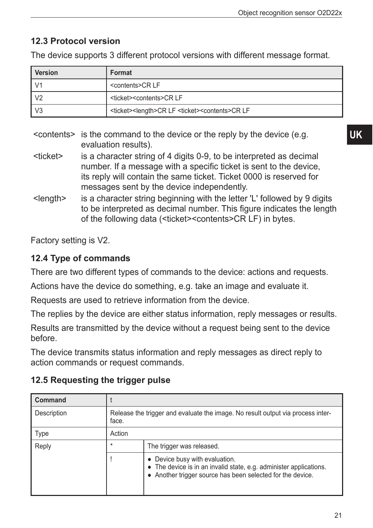### **12.3 Protocol version**

The device supports 3 different protocol versions with different message format.

| <b>Version</b> | Format                                                                              |
|----------------|-------------------------------------------------------------------------------------|
|                | <contents>CRLF</contents>                                                           |
| V <sub>2</sub> | <ticket><contents>CRLF</contents></ticket>                                          |
| V <sub>3</sub> | <ticket><length>CR LF <ticket><contents>CR LF</contents></ticket></length></ticket> |

- <contents> is the command to the device or the reply by the device (e.g. evaluation results).
- <ticket> is a character string of 4 digits 0-9, to be interpreted as decimal number. If a message with a specific ticket is sent to the device, its reply will contain the same ticket. Ticket 0000 is reserved for messages sent by the device independently.
- <length> is a character string beginning with the letter 'L' followed by 9 digits to be interpreted as decimal number. This figure indicates the length of the following data (<ticket><contents>CR LF) in bytes.

Factory setting is V2.

### **12.4 Type of commands**

There are two different types of commands to the device: actions and requests.

Actions have the device do something, e.g. take an image and evaluate it.

Requests are used to retrieve information from the device.

The replies by the device are either status information, reply messages or results.

Results are transmitted by the device without a request being sent to the device before.

The device transmits status information and reply messages as direct reply to action commands or request commands.

| <b>Command</b> |                                                                                          |                                                                                                                                                                    |  |
|----------------|------------------------------------------------------------------------------------------|--------------------------------------------------------------------------------------------------------------------------------------------------------------------|--|
| Description    | Release the trigger and evaluate the image. No result output via process inter-<br>face. |                                                                                                                                                                    |  |
| Type           | Action                                                                                   |                                                                                                                                                                    |  |
| Reply          | $\star$                                                                                  | The trigger was released.                                                                                                                                          |  |
|                |                                                                                          | • Device busy with evaluation.<br>• The device is in an invalid state, e.g. administer applications.<br>• Another trigger source has been selected for the device. |  |

### **12.5 Requesting the trigger pulse**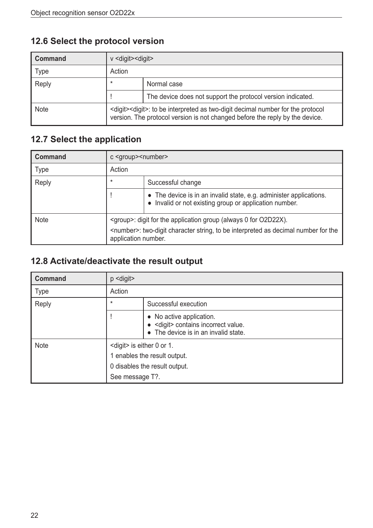# **12.6 Select the protocol version**

| <b>Command</b> | $v$ <digit><digit></digit></digit>                                                                                                                                              |                                                             |  |
|----------------|---------------------------------------------------------------------------------------------------------------------------------------------------------------------------------|-------------------------------------------------------------|--|
| Type           | Action                                                                                                                                                                          |                                                             |  |
| Reply          | $\star$<br>Normal case                                                                                                                                                          |                                                             |  |
|                |                                                                                                                                                                                 | The device does not support the protocol version indicated. |  |
| <b>Note</b>    | <digit><digit>: to be interpreted as two-digit decimal number for the protocol<br/>version. The protocol version is not changed before the reply by the device.</digit></digit> |                                                             |  |

### **12.7 Select the application**

| <b>Command</b> | c <group> &lt; number&gt;</group>                                                                                  |                                                                                                                              |  |
|----------------|--------------------------------------------------------------------------------------------------------------------|------------------------------------------------------------------------------------------------------------------------------|--|
| <b>Type</b>    | Action                                                                                                             |                                                                                                                              |  |
| Reply          | $\star$<br>Successful change                                                                                       |                                                                                                                              |  |
|                |                                                                                                                    | • The device is in an invalid state, e.g. administer applications.<br>• Invalid or not existing group or application number. |  |
| <b>Note</b>    | <group>: digit for the application group (always 0 for O2D22X).</group>                                            |                                                                                                                              |  |
|                | <number>: two-digit character string, to be interpreted as decimal number for the<br/>application number.</number> |                                                                                                                              |  |

# **12.8 Activate/deactivate the result output**

| <b>Command</b> | $p$ <digit></digit>                                                              |                                                                                                          |  |
|----------------|----------------------------------------------------------------------------------|----------------------------------------------------------------------------------------------------------|--|
| <b>Type</b>    | Action                                                                           |                                                                                                          |  |
| Reply          | $\star$                                                                          | Successful execution                                                                                     |  |
|                |                                                                                  | • No active application.<br>· < digit> contains incorrect value.<br>• The device is in an invalid state. |  |
| <b>Note</b>    |                                                                                  | <digit> is either 0 or 1.</digit>                                                                        |  |
|                | 1 enables the result output.<br>0 disables the result output.<br>See message T?. |                                                                                                          |  |
|                |                                                                                  |                                                                                                          |  |
|                |                                                                                  |                                                                                                          |  |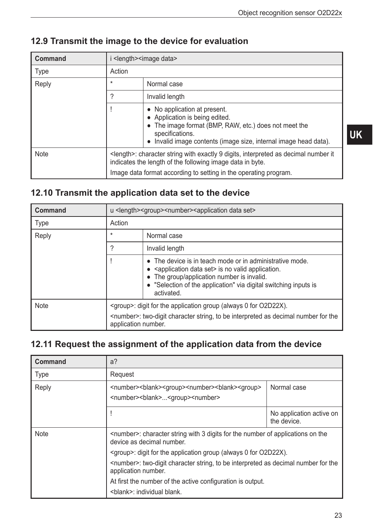| <b>Command</b> | i <length> <image data=""/></length>                                                                                                                                                                                           |                                                                                                                                                                                                          |
|----------------|--------------------------------------------------------------------------------------------------------------------------------------------------------------------------------------------------------------------------------|----------------------------------------------------------------------------------------------------------------------------------------------------------------------------------------------------------|
| <b>Type</b>    | Action                                                                                                                                                                                                                         |                                                                                                                                                                                                          |
| Reply          | $\star$                                                                                                                                                                                                                        | Normal case                                                                                                                                                                                              |
|                | ?                                                                                                                                                                                                                              | Invalid length                                                                                                                                                                                           |
|                |                                                                                                                                                                                                                                | No application at present.<br>• Application is being edited.<br>The image format (BMP, RAW, etc.) does not meet the<br>specifications.<br>Invalid image contents (image size, internal image head data). |
| <b>Note</b>    | <length>: character string with exactly 9 digits, interpreted as decimal number it<br/>indicates the length of the following image data in byte.<br/>Image data format according to setting in the operating program.</length> |                                                                                                                                                                                                          |

### **12.9 Transmit the image to the device for evaluation**

### **12.10 Transmit the application data set to the device**

| <b>Command</b> | u <length><group><number><application data="" set=""></application></number></group></length>                                                                                                  |                                                                                                                                                                                                                                                                    |
|----------------|------------------------------------------------------------------------------------------------------------------------------------------------------------------------------------------------|--------------------------------------------------------------------------------------------------------------------------------------------------------------------------------------------------------------------------------------------------------------------|
| <b>Type</b>    | Action                                                                                                                                                                                         |                                                                                                                                                                                                                                                                    |
| Reply          | $\star$                                                                                                                                                                                        | Normal case                                                                                                                                                                                                                                                        |
|                | ?                                                                                                                                                                                              | Invalid length                                                                                                                                                                                                                                                     |
|                |                                                                                                                                                                                                | • The device is in teach mode or in administrative mode.<br>• <application data="" set=""> is no valid application.<br/>The group/application number is invalid.<br/>• "Selection of the application" via digital switching inputs is<br/>activated.</application> |
| <b>Note</b>    | <group>: digit for the application group (always 0 for O2D22X).<br/><number>: two-digit character string, to be interpreted as decimal number for the<br/>application number.</number></group> |                                                                                                                                                                                                                                                                    |

### **12.11 Request the assignment of the application data from the device**

| <b>Command</b> | $a$ ?                                                                                                                                                                                                                                                                                                                                                                                                                                     |                                         |  |
|----------------|-------------------------------------------------------------------------------------------------------------------------------------------------------------------------------------------------------------------------------------------------------------------------------------------------------------------------------------------------------------------------------------------------------------------------------------------|-----------------------------------------|--|
| <b>Type</b>    | Request                                                                                                                                                                                                                                                                                                                                                                                                                                   |                                         |  |
| Reply          | <number><br/>blank&gt;<group><number><br/>blank&gt;<group><br/><number><br/>blank&gt;<group><number></number></group></number></group></number></group></number>                                                                                                                                                                                                                                                                          | Normal case                             |  |
|                |                                                                                                                                                                                                                                                                                                                                                                                                                                           | No application active on<br>the device. |  |
| <b>Note</b>    | <number>: character string with 3 digits for the number of applications on the<br/>device as decimal number.<br/><math>\leq</math>group&gt;: digit for the application group (always 0 for O2D22X).<br/><number>: two-digit character string, to be interpreted as decimal number for the<br/>application number.<br/>At first the number of the active configuration is output.<br/><br/> shank&gt;: individual blank.</number></number> |                                         |  |
|                |                                                                                                                                                                                                                                                                                                                                                                                                                                           |                                         |  |
|                |                                                                                                                                                                                                                                                                                                                                                                                                                                           |                                         |  |
|                |                                                                                                                                                                                                                                                                                                                                                                                                                                           |                                         |  |
|                |                                                                                                                                                                                                                                                                                                                                                                                                                                           |                                         |  |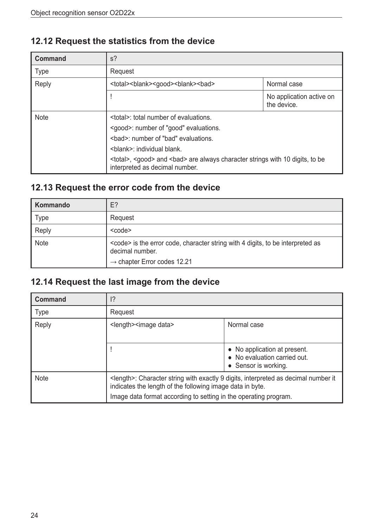### **12.12 Request the statistics from the device**

| <b>Command</b> | $s$ ?                                                                                                                                                                                  |                                         |  |
|----------------|----------------------------------------------------------------------------------------------------------------------------------------------------------------------------------------|-----------------------------------------|--|
| <b>Type</b>    | Request                                                                                                                                                                                |                                         |  |
| Reply          | <total><br/>blank&gt;<good><br/>blank&gt;<br/>&gt;bad&gt;<br/>Normal case</good></total>                                                                                               |                                         |  |
|                |                                                                                                                                                                                        | No application active on<br>the device. |  |
| <b>Note</b>    | <total>: total number of evaluations.<br/><good>: number of "good" evaluations.<br/><br/> shad&gt;: number of "bad" evaluations.<br/><br/> shank&gt;: individual blank.</good></total> |                                         |  |
|                | <total>, <good> and <br/>sad&gt; are always character strings with 10 digits, to be<br/>interpreted as decimal number.</good></total>                                                  |                                         |  |

### **12.13 Request the error code from the device**

| Kommando    | E?                                                                                                                                                               |
|-------------|------------------------------------------------------------------------------------------------------------------------------------------------------------------|
| Type        | Request                                                                                                                                                          |
| Reply       | $<$ code $>$                                                                                                                                                     |
| <b>Note</b> | <code> is the error code, character string with 4 digits, to be interpreted as<br/>decimal number.<br/><math>\rightarrow</math> chapter Error codes 12.21</code> |

### **12.14 Request the last image from the device**

| <b>Command</b> | ?                                                                                                                                                         |                                                                                      |  |
|----------------|-----------------------------------------------------------------------------------------------------------------------------------------------------------|--------------------------------------------------------------------------------------|--|
| <b>Type</b>    | Request                                                                                                                                                   |                                                                                      |  |
| Reply          | <length> <image data=""/></length>                                                                                                                        | Normal case                                                                          |  |
|                |                                                                                                                                                           | • No application at present.<br>• No evaluation carried out.<br>• Sensor is working. |  |
| <b>Note</b>    | <length>: Character string with exactly 9 digits, interpreted as decimal number it<br/>indicates the length of the following image data in byte.</length> |                                                                                      |  |
|                | Image data format according to setting in the operating program.                                                                                          |                                                                                      |  |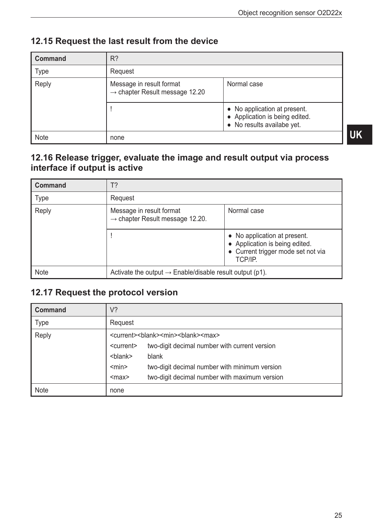| <b>Command</b> | $R$ ?                                                                  |                                                                                              |  |
|----------------|------------------------------------------------------------------------|----------------------------------------------------------------------------------------------|--|
| Type           | Request                                                                |                                                                                              |  |
| Reply          | Message in result format<br>$\rightarrow$ chapter Result message 12.20 | Normal case                                                                                  |  |
|                |                                                                        | • No application at present.<br>• Application is being edited.<br>• No results availabe yet. |  |
| <b>Note</b>    | none                                                                   |                                                                                              |  |

### **12.15 Request the last result from the device**

### **12.16 Release trigger, evaluate the image and result output via process interface if output is active**

| <b>Command</b> | T?                                                                      |                                                                                                                 |  |
|----------------|-------------------------------------------------------------------------|-----------------------------------------------------------------------------------------------------------------|--|
| <b>Type</b>    | Request                                                                 |                                                                                                                 |  |
| Reply          | Message in result format<br>$\rightarrow$ chapter Result message 12.20. | Normal case                                                                                                     |  |
|                |                                                                         | • No application at present.<br>• Application is being edited.<br>• Current trigger mode set not via<br>TCP/IP. |  |
| <b>Note</b>    | Activate the output $\rightarrow$ Enable/disable result output (p1).    |                                                                                                                 |  |

#### **12.17 Request the protocol version**

| <b>Command</b> | V?                                                                         |                                               |
|----------------|----------------------------------------------------------------------------|-----------------------------------------------|
| <b>Type</b>    | Request                                                                    |                                               |
| Reply          | <current><blank><min><br/>&gt;blank&gt;<max></max></min></blank></current> |                                               |
|                | <current></current>                                                        | two-digit decimal number with current version |
|                | <blank></blank>                                                            | blank                                         |
|                | $<$ min $>$                                                                | two-digit decimal number with minimum version |
|                | $<$ max $>$                                                                | two-digit decimal number with maximum version |
| <b>Note</b>    | none                                                                       |                                               |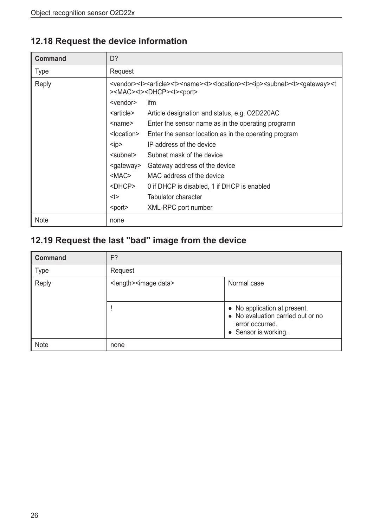# **12.18 Request the device information**

| <b>Command</b> | D?                                                                                                                                                                                                                                          |                                                    |
|----------------|---------------------------------------------------------------------------------------------------------------------------------------------------------------------------------------------------------------------------------------------|----------------------------------------------------|
| <b>Type</b>    | Request                                                                                                                                                                                                                                     |                                                    |
| Reply          | <vendor><t><article><t><name><t><location><t><subnet><t><subnet><t><suateway><t<br>&gt;<mac><t><dhcp><t><port></port></t></dhcp></t></mac></t<br></suateway></t></subnet></t></subnet></t></location></t></name></t></article></t></vendor> |                                                    |
|                | <vendor></vendor>                                                                                                                                                                                                                           | ifm                                                |
|                | <article></article>                                                                                                                                                                                                                         | Article designation and status, e.g. O2D220AC      |
|                | <name></name>                                                                                                                                                                                                                               | Enter the sensor name as in the operating programn |
|                | <location><br/>Enter the sensor location as in the operating program</location>                                                                                                                                                             |                                                    |
|                | IP address of the device<br>kip                                                                                                                                                                                                             |                                                    |
|                | <subnet><br/>Subnet mask of the device</subnet>                                                                                                                                                                                             |                                                    |
|                | Gateway address of the device<br><gateway></gateway>                                                                                                                                                                                        |                                                    |
|                | <mac><br/>MAC address of the device</mac>                                                                                                                                                                                                   |                                                    |
|                | <dhcp><br/>0 if DHCP is disabled, 1 if DHCP is enabled</dhcp>                                                                                                                                                                               |                                                    |
|                | <t></t>                                                                                                                                                                                                                                     | Tabulator character                                |
|                | <port></port>                                                                                                                                                                                                                               | XML-RPC port number                                |
| <b>Note</b>    | none                                                                                                                                                                                                                                        |                                                    |

# **12.19 Request the last "bad" image from the device**

| <b>Command</b> | F?                                 |                                                                                                              |  |
|----------------|------------------------------------|--------------------------------------------------------------------------------------------------------------|--|
| <b>Type</b>    | Request                            |                                                                                                              |  |
| Reply          | <length> <image data=""/></length> | Normal case                                                                                                  |  |
|                |                                    | • No application at present.<br>• No evaluation carried out or no<br>error occurred.<br>• Sensor is working. |  |
| <b>Note</b>    | none                               |                                                                                                              |  |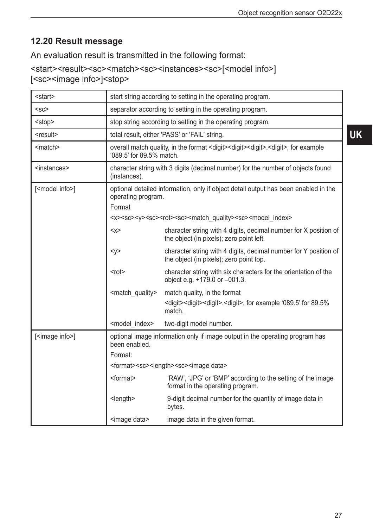### **12.20 Result message**

An evaluation result is transmitted in the following format:

<start><result><sc><match><sc><instances><sc>[<model info>] [<sc><image info>]<stop>

| <start></start>            |                                 | start string according to setting in the operating program.                                                                |  |  |
|----------------------------|---------------------------------|----------------------------------------------------------------------------------------------------------------------------|--|--|
| $<$ sc $>$                 |                                 | separator according to setting in the operating program.                                                                   |  |  |
| <stop></stop>              |                                 | stop string according to setting in the operating program.                                                                 |  |  |
| <result></result>          |                                 | total result, either 'PASS' or 'FAIL' string.                                                                              |  |  |
| <match></match>            | '089.5' for 89.5% match.        | overall match quality, in the format <digit><digit><digit>.<digit>, for example</digit></digit></digit></digit>            |  |  |
| <instances></instances>    | (instances).                    | character string with 3 digits (decimal number) for the number of objects found                                            |  |  |
| [ <model info="">]</model> | Format                          | optional detailed information, only if object detail output has been enabled in the<br>operating program.                  |  |  |
|                            |                                 | <x><sc><y><sc><r>&gt;<rot><sc><match quality=""><sc><model index=""></model></sc></match></sc></rot></r></sc></y></sc></x> |  |  |
|                            | $<\!\!\times\!\!>$              | character string with 4 digits, decimal number for X position of<br>the object (in pixels); zero point left.               |  |  |
|                            | < y >                           | character string with 4 digits, decimal number for Y position of<br>the object (in pixels); zero point top.                |  |  |
|                            | $<$ rot $>$                     | character string with six characters for the orientation of the<br>object e.g. +179.0 or -001.3.                           |  |  |
|                            | <match_quality></match_quality> | match quality, in the format                                                                                               |  |  |
|                            |                                 | <digit><digit><digit>.<digit>.<digit>, for example '089.5' for 89.5%<br/>match.</digit></digit></digit></digit></digit>    |  |  |
|                            | <model_index></model_index>     | two-digit model number.                                                                                                    |  |  |
| [ <image info=""/> ]       | been enabled.<br>Format:        | optional image information only if image output in the operating program has                                               |  |  |
|                            |                                 | <format><sc><length><sc><image data=""/></sc></length></sc></format>                                                       |  |  |
|                            | <format></format>               | 'RAW', 'JPG' or 'BMP' according to the setting of the image<br>format in the operating program.                            |  |  |
|                            | <length></length>               | 9-digit decimal number for the quantity of image data in<br>bytes.                                                         |  |  |
|                            | <image data=""/>                | image data in the given format.                                                                                            |  |  |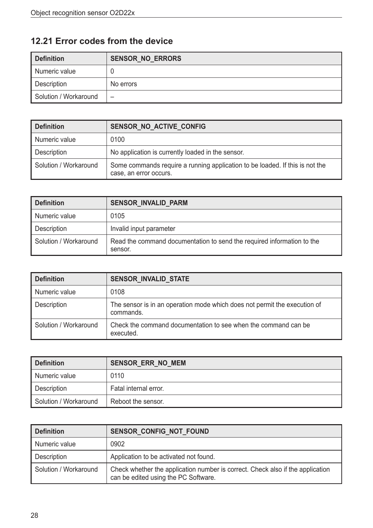### **12.21 Error codes from the device**

| <b>Definition</b>     | <b>SENSOR_NO_ERRORS</b> |
|-----------------------|-------------------------|
| Numeric value         |                         |
| Description           | No errors               |
| Solution / Workaround | -                       |

| <b>Definition</b>     | SENSOR NO ACTIVE CONFIG                                                                                |
|-----------------------|--------------------------------------------------------------------------------------------------------|
| Numeric value         | 0100                                                                                                   |
| Description           | No application is currently loaded in the sensor.                                                      |
| Solution / Workaround | Some commands require a running application to be loaded. If this is not the<br>case, an error occurs. |

| Definition            | <b>SENSOR INVALID PARM</b>                                                        |
|-----------------------|-----------------------------------------------------------------------------------|
| Numeric value         | 0105                                                                              |
| Description           | Invalid input parameter                                                           |
| Solution / Workaround | Read the command documentation to send the required information to the<br>sensor. |

| <b>Definition</b>     | SENSOR_INVALID_STATE                                                                   |
|-----------------------|----------------------------------------------------------------------------------------|
| Numeric value         | 0108                                                                                   |
| Description           | The sensor is in an operation mode which does not permit the execution of<br>commands. |
| Solution / Workaround | Check the command documentation to see when the command can be<br>executed.            |

| Definition            | <b>SENSOR ERR NO MEM</b> |
|-----------------------|--------------------------|
| Numeric value         | 0110                     |
| Description           | Fatal internal error.    |
| Solution / Workaround | Reboot the sensor.       |

| Definition            | SENSOR_CONFIG_NOT_FOUND                                                                                                |
|-----------------------|------------------------------------------------------------------------------------------------------------------------|
| Numeric value         | 0902                                                                                                                   |
| Description           | Application to be activated not found.                                                                                 |
| Solution / Workaround | Check whether the application number is correct. Check also if the application<br>can be edited using the PC Software. |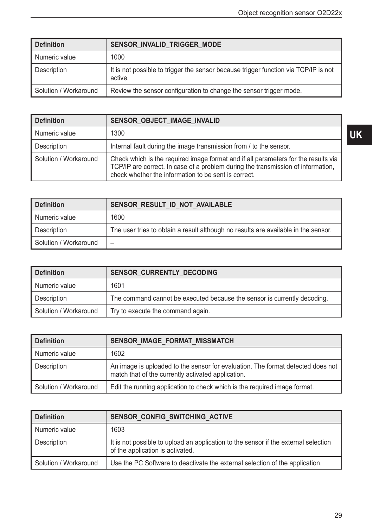| Definition            | SENSOR_INVALID_TRIGGER_MODE                                                                    |
|-----------------------|------------------------------------------------------------------------------------------------|
| Numeric value         | 1000                                                                                           |
| Description           | It is not possible to trigger the sensor because trigger function via TCP/IP is not<br>active. |
| Solution / Workaround | Review the sensor configuration to change the sensor trigger mode.                             |

| <b>Definition</b>     | SENSOR OBJECT IMAGE INVALID                                                                                                                                                                                                    |
|-----------------------|--------------------------------------------------------------------------------------------------------------------------------------------------------------------------------------------------------------------------------|
| Numeric value         | 1300                                                                                                                                                                                                                           |
| Description           | Internal fault during the image transmission from / to the sensor.                                                                                                                                                             |
| Solution / Workaround | Check which is the required image format and if all parameters for the results via<br>TCP/IP are correct. In case of a problem during the transmission of information,<br>check whether the information to be sent is correct. |

| <b>Definition</b>     | SENSOR RESULT_ID_NOT_AVAILABLE                                                     |
|-----------------------|------------------------------------------------------------------------------------|
| Numeric value         | 1600                                                                               |
| Description           | The user tries to obtain a result although no results are available in the sensor. |
| Solution / Workaround |                                                                                    |

| Definition            | <b>SENSOR CURRENTLY DECODING</b>                                         |
|-----------------------|--------------------------------------------------------------------------|
| Numeric value         | 1601                                                                     |
| Description           | The command cannot be executed because the sensor is currently decoding. |
| Solution / Workaround | Try to execute the command again.                                        |

| Definition            | SENSOR IMAGE FORMAT MISSMATCH                                                                                                         |
|-----------------------|---------------------------------------------------------------------------------------------------------------------------------------|
| Numeric value         | 1602                                                                                                                                  |
| Description           | An image is uploaded to the sensor for evaluation. The format detected does not<br>match that of the currently activated application. |
| Solution / Workaround | Edit the running application to check which is the required image format.                                                             |

| Definition            | SENSOR CONFIG SWITCHING ACTIVE                                                                                          |
|-----------------------|-------------------------------------------------------------------------------------------------------------------------|
| Numeric value         | 1603                                                                                                                    |
| Description           | It is not possible to upload an application to the sensor if the external selection<br>of the application is activated. |
| Solution / Workaround | Use the PC Software to deactivate the external selection of the application.                                            |